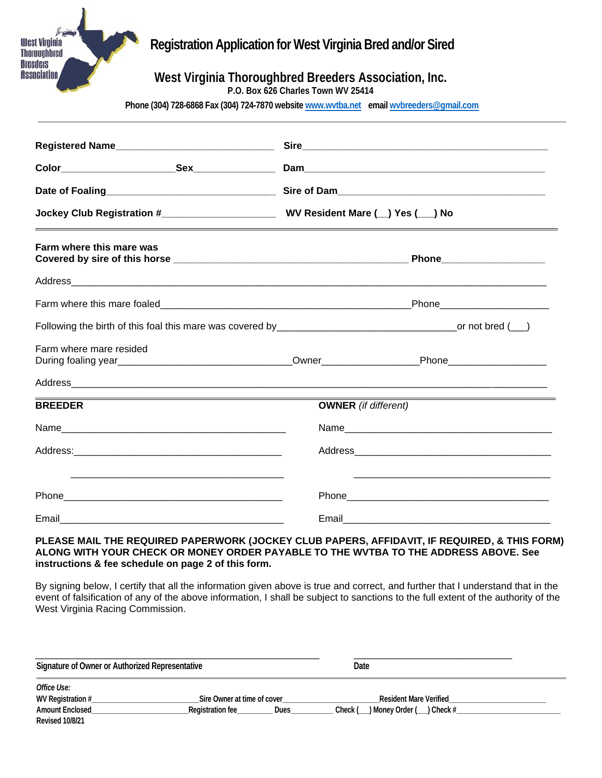## **Registration Application for West Virginia Bred and/or Sired**

West Virginia Thoroughbred **Breeders Association** 

### **West Virginia Thoroughbred Breeders Association, Inc.**

**P.O. Box 626 Charles Town WV 25414**

**Phone (304) 728-6868 Fax (304) 724-7870 websit[e www.wvtba.net](http://www.wvtba.net/) emai[l wvbreeders@gmail.com](mailto:wvbreeders@gmail.com)**

| Farm where this mare was                                                                                                        |                             |      |  |  |
|---------------------------------------------------------------------------------------------------------------------------------|-----------------------------|------|--|--|
|                                                                                                                                 |                             |      |  |  |
|                                                                                                                                 |                             |      |  |  |
|                                                                                                                                 |                             |      |  |  |
| Farm where mare resided<br>During foaling year__________________________________Owner__________________Phone___________________ |                             |      |  |  |
|                                                                                                                                 |                             |      |  |  |
| <b>BREEDER</b>                                                                                                                  | <b>OWNER</b> (if different) |      |  |  |
|                                                                                                                                 |                             | Name |  |  |
|                                                                                                                                 |                             |      |  |  |
|                                                                                                                                 |                             |      |  |  |
| Email                                                                                                                           | Email                       |      |  |  |

#### **PLEASE MAIL THE REQUIRED PAPERWORK (JOCKEY CLUB PAPERS, AFFIDAVIT, IF REQUIRED, & THIS FORM) ALONG WITH YOUR CHECK OR MONEY ORDER PAYABLE TO THE WVTBA TO THE ADDRESS ABOVE. See instructions & fee schedule on page 2 of this form.**

By signing below, I certify that all the information given above is true and correct, and further that I understand that in the event of falsification of any of the above information, I shall be subject to sanctions to the full extent of the authority of the West Virginia Racing Commission.

| <b>Signature of Owner or Authorized Representative</b> |                                        | Date                                      |  |
|--------------------------------------------------------|----------------------------------------|-------------------------------------------|--|
| Office Use:<br>WV Registration #                       | Sire Owner at time of cover            | <b>Resident Mare Verified</b>             |  |
| <b>Amount Enclosed</b><br><b>Revised 10/8/21</b>       | <b>Registration fee</b><br><b>Dues</b> | Check #<br>Check (<br>_) Money Order (___ |  |